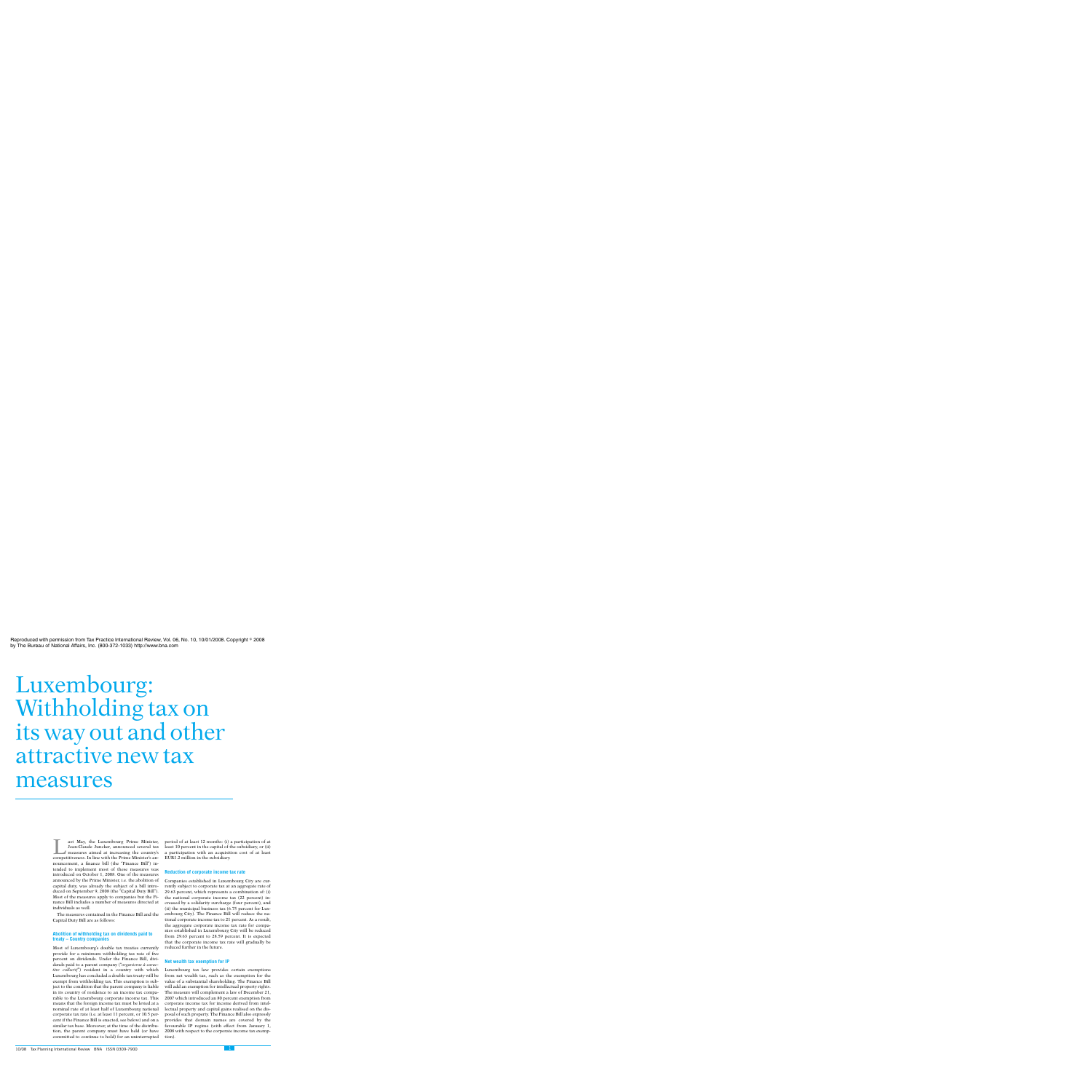# Luxembourg: Withholding tax on its way out and other attractive new tax measures

T<br>
Last May, the Luxembourg Prime Minister,<br>
Jean-Claude Juncker, announced several tax<br>
measures aimed at increasing the country's<br>
competitiveness In line with the Prime Minister's and Jean-Claude Juncker, announced several tax competitiveness. In line with the Prime Minister's announcement, a finance bill (the "Finance Bill") intended to implement most of these measures was introduced on October 1, 2008. One of the measures announced by the Prime Minister, i.e. the abolition of capital duty, was already the subject of a bill introduced on September 9, 2008 (the "Capital Duty Bill"). Most of the measures apply to companies but the Finance Bill includes a number of measures directed at individuals as well.

The measures contained in the Finance Bill and the Capital Duty Bill are as follows:

# **Abolition of withholding tax on dividends paid to treaty – Country companies**

Most of Luxembourg's double tax treaties currently provide for a minimum withholding tax rate of five percent on dividends. Under the Finance Bill, dividends paid to a parent company (''*organisme a` caractère collectif"*) resident in a country with which Luxembourg has concluded a double tax treaty will be exempt from withholding tax. This exemption is subject to the condition that the parent company is liable in its country of residence to an income tax comparable to the Luxembourg corporate income tax. This means that the foreign income tax must be levied at a nominal rate of at least half of Luxembourg national corporate tax rate (i.e. at least 11 percent, or 10.5 percent if the Finance Bill is enacted, see below) and on a similar tax base. Moreover, at the time of the distribution, the parent company must have held (or have committed to continue to hold) for an uninterrupted period of at least 12 months: (i) a participation of at least 10 percent in the capital of the subsidiary, or (ii) a participation with an acquisition cost of at least EUR1.2 million in the subsidiary.

### **Reduction of corporate income tax rate**

Companies established in Luxembourg City are currently subject to corporate tax at an aggregate rate of 29.63 percent, which represents a combination of: (i) the national corporate income tax (22 percent) increased by a solidarity surcharge (four percent), and (ii) the municipal business tax (6.75 percent for Luxembourg City). The Finance Bill will reduce the national corporate income tax to 21 percent. As a result, the aggregate corporate income tax rate for companies established in Luxembourg City will be reduced from 29.63 percent to 28.59 percent. It is expected that the corporate income tax rate will gradually be reduced further in the future.

## **Net wealth tax exemption for IP**

Luxembourg tax law provides certain exemptions from net wealth tax, such as the exemption for the value of a substantial shareholding. The Finance Bill will add an exemption for intellectual property rights. The measure will complement a law of December 21, 2007 which introduced an 80 percent exemption from corporate income tax for income derived from intellectual property and capital gains realised on the disposal of such property. The Finance Bill also expressly provides that domain names are covered by the favourable IP regime (with effect from January 1, 2008 with respect to the corporate income tax exemption).